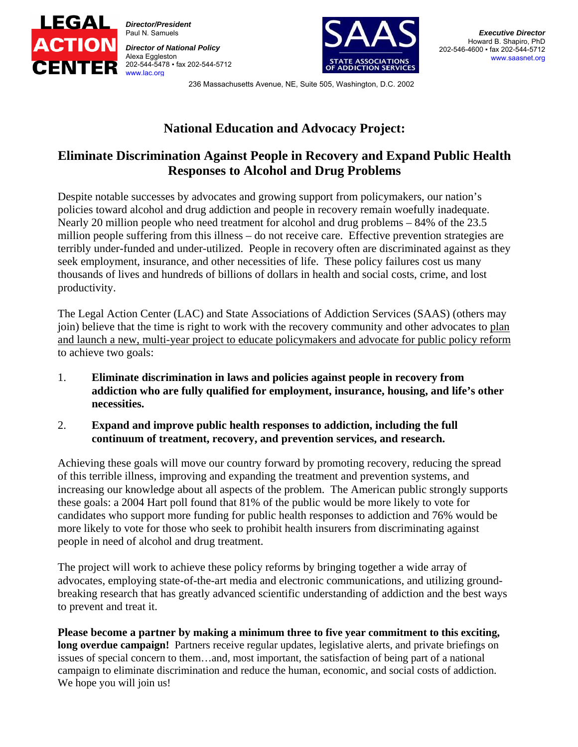

*Director/President*  Paul N. Samuels

*Director of National Policy*  Alexa Eggleston 202-544-5478 ▪ fax 202-544-5712 www.lac.org



236 Massachusetts Avenue, NE, Suite 505, Washington, D.C. 2002

# **National Education and Advocacy Project:**

## **Eliminate Discrimination Against People in Recovery and Expand Public Health Responses to Alcohol and Drug Problems**

Despite notable successes by advocates and growing support from policymakers, our nation's policies toward alcohol and drug addiction and people in recovery remain woefully inadequate. Nearly 20 million people who need treatment for alcohol and drug problems – 84% of the 23.5 million people suffering from this illness – do not receive care. Effective prevention strategies are terribly under-funded and under-utilized. People in recovery often are discriminated against as they seek employment, insurance, and other necessities of life. These policy failures cost us many thousands of lives and hundreds of billions of dollars in health and social costs, crime, and lost productivity.

The Legal Action Center (LAC) and State Associations of Addiction Services (SAAS) (others may join) believe that the time is right to work with the recovery community and other advocates to plan and launch a new, multi-year project to educate policymakers and advocate for public policy reform to achieve two goals:

- 1. **Eliminate discrimination in laws and policies against people in recovery from addiction who are fully qualified for employment, insurance, housing, and life's other necessities.**
- 2. **Expand and improve public health responses to addiction, including the full continuum of treatment, recovery, and prevention services, and research.**

Achieving these goals will move our country forward by promoting recovery, reducing the spread of this terrible illness, improving and expanding the treatment and prevention systems, and increasing our knowledge about all aspects of the problem. The American public strongly supports these goals: a 2004 Hart poll found that 81% of the public would be more likely to vote for candidates who support more funding for public health responses to addiction and 76% would be more likely to vote for those who seek to prohibit health insurers from discriminating against people in need of alcohol and drug treatment.

The project will work to achieve these policy reforms by bringing together a wide array of advocates, employing state-of-the-art media and electronic communications, and utilizing groundbreaking research that has greatly advanced scientific understanding of addiction and the best ways to prevent and treat it.

**Please become a partner by making a minimum three to five year commitment to this exciting, long overdue campaign!** Partners receive regular updates, legislative alerts, and private briefings on issues of special concern to them…and, most important, the satisfaction of being part of a national campaign to eliminate discrimination and reduce the human, economic, and social costs of addiction. We hope you will join us!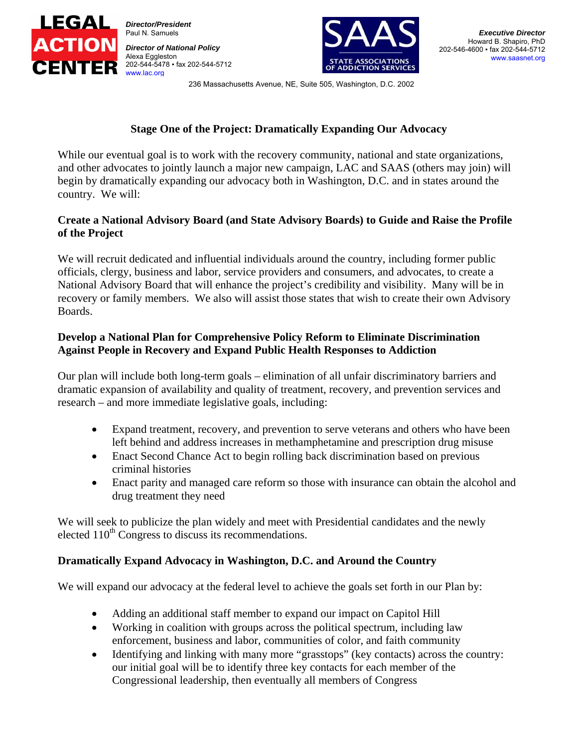

*Director/President*  Paul N. Samuels

*Director of National Policy*  Alexa Eggleston 202-544-5478 ▪ fax 202-544-5712 www.lac.org



236 Massachusetts Avenue, NE, Suite 505, Washington, D.C. 2002

#### **Stage One of the Project: Dramatically Expanding Our Advocacy**

While our eventual goal is to work with the recovery community, national and state organizations, and other advocates to jointly launch a major new campaign, LAC and SAAS (others may join) will begin by dramatically expanding our advocacy both in Washington, D.C. and in states around the country. We will:

#### **Create a National Advisory Board (and State Advisory Boards) to Guide and Raise the Profile of the Project**

We will recruit dedicated and influential individuals around the country, including former public officials, clergy, business and labor, service providers and consumers, and advocates, to create a National Advisory Board that will enhance the project's credibility and visibility. Many will be in recovery or family members. We also will assist those states that wish to create their own Advisory Boards.

#### **Develop a National Plan for Comprehensive Policy Reform to Eliminate Discrimination Against People in Recovery and Expand Public Health Responses to Addiction**

Our plan will include both long-term goals – elimination of all unfair discriminatory barriers and dramatic expansion of availability and quality of treatment, recovery, and prevention services and research – and more immediate legislative goals, including:

- Expand treatment, recovery, and prevention to serve veterans and others who have been left behind and address increases in methamphetamine and prescription drug misuse
- Enact Second Chance Act to begin rolling back discrimination based on previous criminal histories
- Enact parity and managed care reform so those with insurance can obtain the alcohol and drug treatment they need

We will seek to publicize the plan widely and meet with Presidential candidates and the newly elected  $110<sup>th</sup>$  Congress to discuss its recommendations.

### **Dramatically Expand Advocacy in Washington, D.C. and Around the Country**

We will expand our advocacy at the federal level to achieve the goals set forth in our Plan by:

- Adding an additional staff member to expand our impact on Capitol Hill
- Working in coalition with groups across the political spectrum, including law enforcement, business and labor, communities of color, and faith community
- Identifying and linking with many more "grasstops" (key contacts) across the country: our initial goal will be to identify three key contacts for each member of the Congressional leadership, then eventually all members of Congress